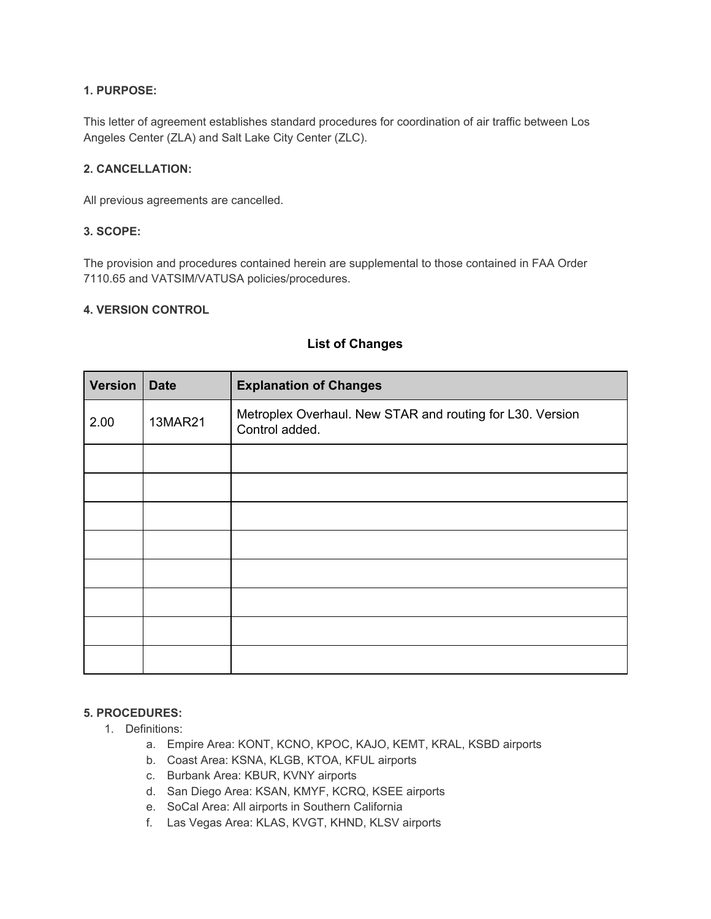## **1. PURPOSE:**

This letter of agreement establishes standard procedures for coordination of air traffic between Los Angeles Center (ZLA) and Salt Lake City Center (ZLC).

### **2. CANCELLATION:**

All previous agreements are cancelled.

## **3. SCOPE:**

The provision and procedures contained herein are supplemental to those contained in FAA Order 7110.65 and VATSIM/VATUSA policies/procedures.

#### **4. VERSION CONTROL**

| Version | <b>Date</b> | <b>Explanation of Changes</b>                                               |
|---------|-------------|-----------------------------------------------------------------------------|
| 2.00    | 13MAR21     | Metroplex Overhaul. New STAR and routing for L30. Version<br>Control added. |
|         |             |                                                                             |
|         |             |                                                                             |
|         |             |                                                                             |
|         |             |                                                                             |
|         |             |                                                                             |
|         |             |                                                                             |
|         |             |                                                                             |
|         |             |                                                                             |

## **List of Changes**

# **5. PROCEDURES:**

- 1. Definitions:
	- a. Empire Area: KONT, KCNO, KPOC, KAJO, KEMT, KRAL, KSBD airports
	- b. Coast Area: KSNA, KLGB, KTOA, KFUL airports
	- c. Burbank Area: KBUR, KVNY airports
	- d. San Diego Area: KSAN, KMYF, KCRQ, KSEE airports
	- e. SoCal Area: All airports in Southern California
	- f. Las Vegas Area: KLAS, KVGT, KHND, KLSV airports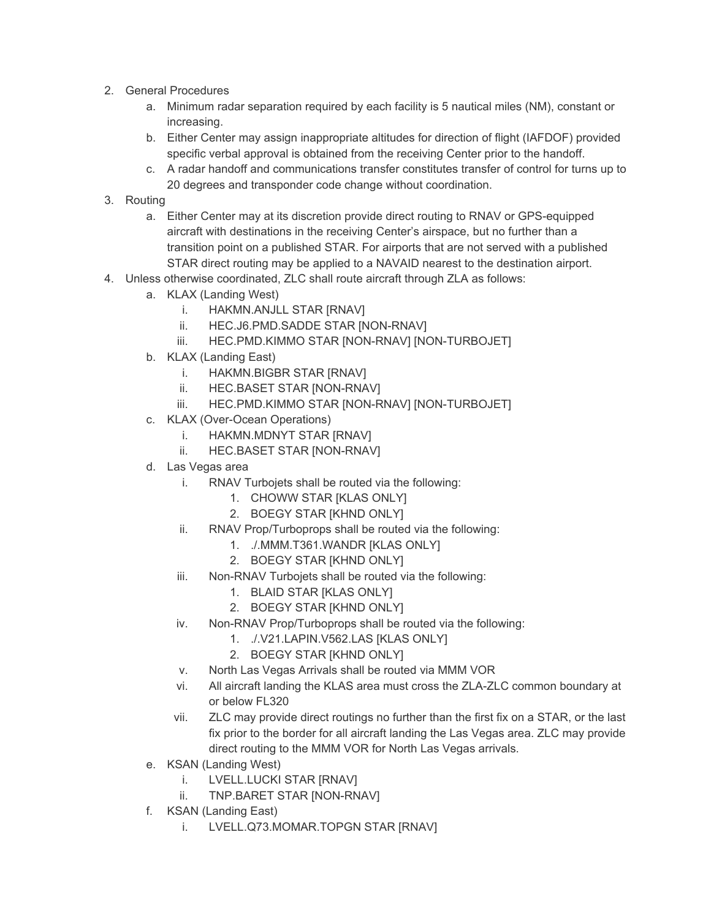- 2. General Procedures
	- a. Minimum radar separation required by each facility is 5 nautical miles (NM), constant or increasing.
	- b. Either Center may assign inappropriate altitudes for direction of flight (IAFDOF) provided specific verbal approval is obtained from the receiving Center prior to the handoff.
	- c. A radar handoff and communications transfer constitutes transfer of control for turns up to 20 degrees and transponder code change without coordination.
- 3. Routing
	- a. Either Center may at its discretion provide direct routing to RNAV or GPS-equipped aircraft with destinations in the receiving Center's airspace, but no further than a transition point on a published STAR. For airports that are not served with a published STAR direct routing may be applied to a NAVAID nearest to the destination airport.
- 4. Unless otherwise coordinated, ZLC shall route aircraft through ZLA as follows:
	- a. KLAX (Landing West)
		- i. HAKMN.ANJLL STAR [RNAV]
		- ii. HEC.J6.PMD.SADDE STAR [NON-RNAV]
		- iii. HEC.PMD.KIMMO STAR [NON-RNAV] [NON-TURBOJET]
	- b. KLAX (Landing East)
		- i. HAKMN.BIGBR STAR [RNAV]
		- ii. HEC.BASET STAR [NON-RNAV]
		- iii. HEC.PMD.KIMMO STAR [NON-RNAV] [NON-TURBOJET]
	- c. KLAX (Over-Ocean Operations)
		- i. HAKMN.MDNYT STAR [RNAV]
		- ii. HEC.BASET STAR [NON-RNAV]
	- d. Las Vegas area
		- i. RNAV Turbojets shall be routed via the following:
			- 1. CHOWW STAR [KLAS ONLY]
			- 2. BOEGY STAR [KHND ONLY]
		- ii. RNAV Prop/Turboprops shall be routed via the following:
			- 1. ./.MMM.T361.WANDR [KLAS ONLY]
			- 2. BOEGY STAR [KHND ONLY]
		- iii. Non-RNAV Turbojets shall be routed via the following:
			- 1. BLAID STAR [KLAS ONLY]
			- 2. BOEGY STAR [KHND ONLY]
		- iv. Non-RNAV Prop/Turboprops shall be routed via the following:
			- 1. ./.V21.LAPIN.V562.LAS [KLAS ONLY]
			- 2. BOEGY STAR [KHND ONLY]
		- v. North Las Vegas Arrivals shall be routed via MMM VOR
		- vi. All aircraft landing the KLAS area must cross the ZLA-ZLC common boundary at or below FL320
		- vii. ZLC may provide direct routings no further than the first fix on a STAR, or the last fix prior to the border for all aircraft landing the Las Vegas area. ZLC may provide direct routing to the MMM VOR for North Las Vegas arrivals.
	- e. KSAN (Landing West)
		- i. LVELL.LUCKI STAR [RNAV]
		- ii. TNP.BARET STAR [NON-RNAV]
	- f. KSAN (Landing East)
		- i. LVELL.Q73.MOMAR.TOPGN STAR [RNAV]